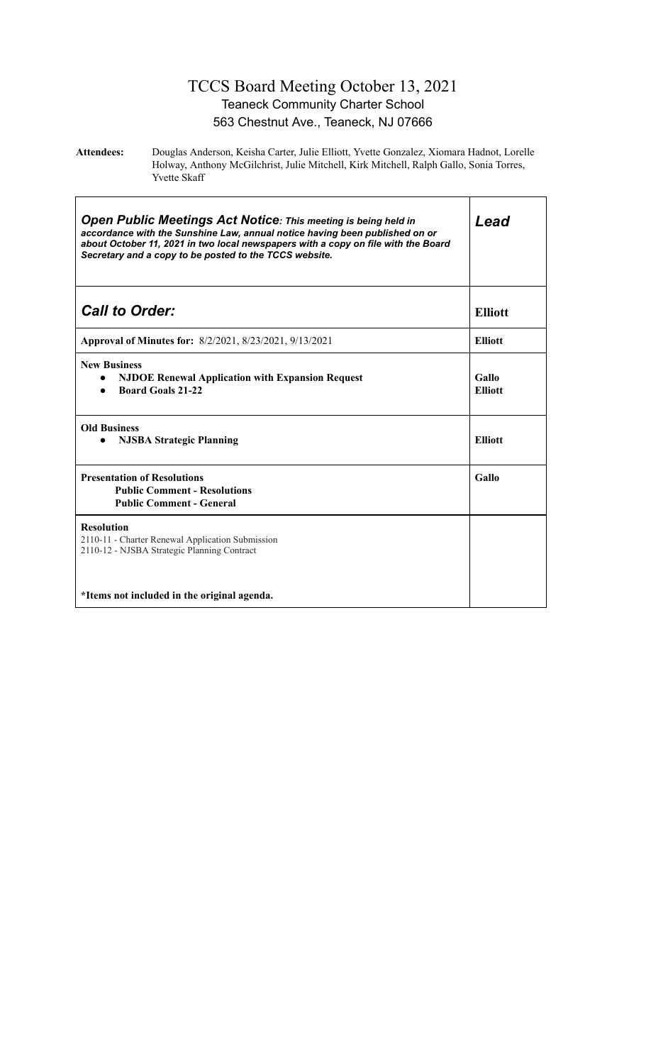## TCCS Board Meeting October 13, 2021 Teaneck Community Charter School 563 Chestnut Ave., Teaneck, NJ 07666

**Attendees:** Douglas Anderson, Keisha Carter, Julie Elliott, Yvette Gonzalez, Xiomara Hadnot, Lorelle Holway, Anthony McGilchrist, Julie Mitchell, Kirk Mitchell, Ralph Gallo, Sonia Torres, Yvette Skaff

| <b>Open Public Meetings Act Notice: This meeting is being held in</b><br>accordance with the Sunshine Law, annual notice having been published on or<br>about October 11, 2021 in two local newspapers with a copy on file with the Board<br>Secretary and a copy to be posted to the TCCS website. | Lead                    |
|-----------------------------------------------------------------------------------------------------------------------------------------------------------------------------------------------------------------------------------------------------------------------------------------------------|-------------------------|
| <b>Call to Order:</b>                                                                                                                                                                                                                                                                               | <b>Elliott</b>          |
| Approval of Minutes for: 8/2/2021, 8/23/2021, 9/13/2021                                                                                                                                                                                                                                             | <b>Elliott</b>          |
| <b>New Business</b><br><b>NJDOE Renewal Application with Expansion Request</b><br><b>Board Goals 21-22</b>                                                                                                                                                                                          | Gallo<br><b>Elliott</b> |
| <b>Old Business</b><br><b>NJSBA Strategic Planning</b>                                                                                                                                                                                                                                              | <b>Elliott</b>          |
| <b>Presentation of Resolutions</b><br><b>Public Comment - Resolutions</b><br><b>Public Comment - General</b>                                                                                                                                                                                        | Gallo                   |
| <b>Resolution</b><br>2110-11 - Charter Renewal Application Submission<br>2110-12 - NJSBA Strategic Planning Contract                                                                                                                                                                                |                         |
| *Items not included in the original agenda.                                                                                                                                                                                                                                                         |                         |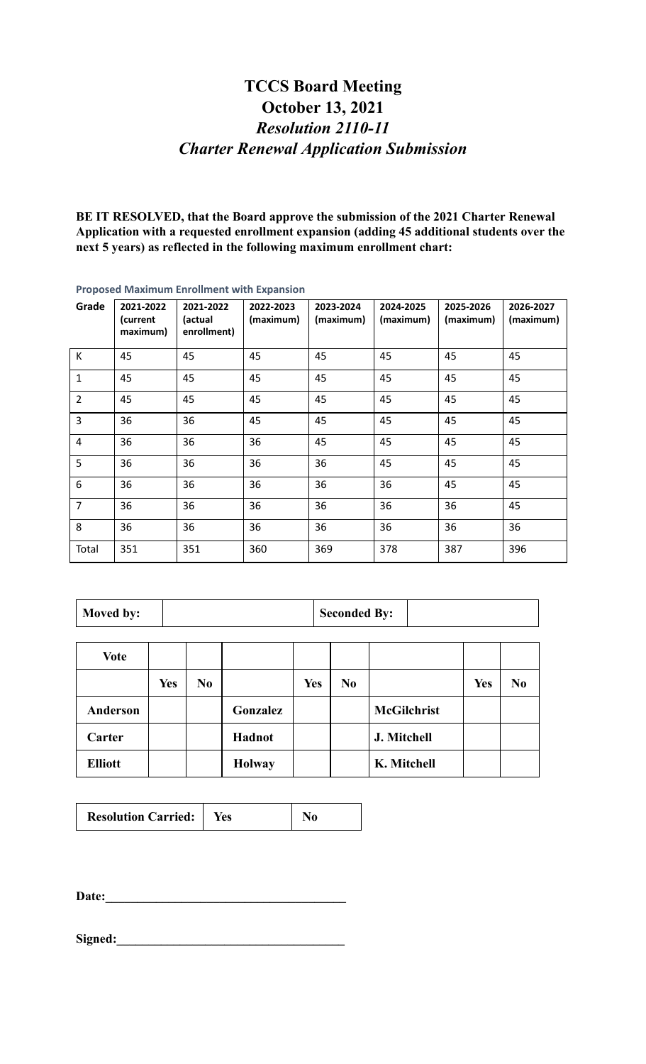## **TCCS Board Meeting October 13, 2021** *Resolution 2110-11 Charter Renewal Application Submission*

**BE IT RESOLVED, that the Board approve the submission of the 2021 Charter Renewal Application with a requested enrollment expansion (adding 45 additional students over the next 5 years) as reflected in the following maximum enrollment chart:**

| Grade          | 2021-2022<br>(current<br>maximum) | 2021-2022<br>(actual<br>enrollment) | 2022-2023<br>(maximum) | 2023-2024<br>(maximum) | 2024-2025<br>(maximum) | 2025-2026<br>(maximum) | 2026-2027<br>(maximum) |  |
|----------------|-----------------------------------|-------------------------------------|------------------------|------------------------|------------------------|------------------------|------------------------|--|
| К              | 45                                | 45                                  | 45                     | 45                     | 45                     | 45                     | 45                     |  |
| $\mathbf 1$    | 45                                | 45                                  | 45                     | 45                     | 45                     | 45                     | 45                     |  |
| $\overline{2}$ | 45                                | 45                                  | 45                     | 45                     | 45                     | 45                     | 45                     |  |
| 3              | 36                                | 36                                  | 45                     | 45                     | 45                     | 45                     | 45                     |  |
| 4              | 36                                | 36                                  | 36                     | 45                     | 45                     | 45                     | 45                     |  |
| 5              | 36                                | 36                                  | 36                     | 36                     | 45                     | 45                     | 45                     |  |
| $\,6$          | 36                                | 36                                  | 36                     | 36                     | 36                     | 45                     | 45                     |  |
| $\overline{7}$ | 36                                | 36                                  | 36                     | 36                     | 36                     | 36                     | 45                     |  |
| 8              | 36                                | 36                                  | 36                     | 36                     | 36                     | 36                     | 36                     |  |
| Total          | 351                               | 351                                 | 360                    | 369                    | 378                    | 387                    | 396                    |  |

**Proposed Maximum Enrollment with Expansion**

| Moved by: | <b>Seconded By:</b> |
|-----------|---------------------|
|-----------|---------------------|

| <b>Vote</b>     |            |                |               |            |                |                    |            |                |
|-----------------|------------|----------------|---------------|------------|----------------|--------------------|------------|----------------|
|                 | <b>Yes</b> | N <sub>0</sub> |               | <b>Yes</b> | N <sub>0</sub> |                    | <b>Yes</b> | N <sub>0</sub> |
| <b>Anderson</b> |            |                | Gonzalez      |            |                | <b>McGilchrist</b> |            |                |
| Carter          |            |                | Hadnot        |            |                | J. Mitchell        |            |                |
| <b>Elliott</b>  |            |                | <b>Holway</b> |            |                | K. Mitchell        |            |                |

| <b>Resolution Carried:</b> | Yes |  |
|----------------------------|-----|--|
|----------------------------|-----|--|

**Date:\_\_\_\_\_\_\_\_\_\_\_\_\_\_\_\_\_\_\_\_\_\_\_\_\_\_\_\_\_\_\_\_\_\_\_\_\_\_**

Signed: